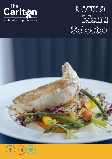

#### Formal **Menu Selector**



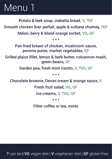Potato & leek soup, ciabatta bread, V, ?GF Smooth chicken liver parfait, apple & sultana chutney, ?GF Melon, berry & blood orange sorbet, VG, GF

\* \* \*

Pan fried breast of chicken, mushroom sauce, pomme puree, market vegetables, GF

Grilled plaice fillet, lemon & herb butter, colcannon mash, green beans, GF

Garden pea, fresh mint risotto, V, ?VG, GF

\* \* \*

Chocolate brownie, Devon cream & orange sauce, V

Fresh fruit salad, VG, GF

Ice creams, V, ?VG, GF

\* \* \*

Filter coffee or tea, mints

? can be | VG vegan diet | V vegetarian diet | GF gluten free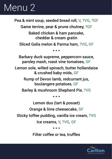Pea & mint soup, seeded bread roll, V, ?VG, ?GF Game terrine, pear & prune chutney, ?GF Baked chicken & ham pancake, cheddar & cream gratin Sliced Galia melon & Parma ham, ?VG, GF \* \* \* Barbary duck supreme, peppercorn sauce, parsley mash, roast vine tomatoes, GF Lemon sole, wilted spinach, butter hollandaise & crushed baby mids, GF Rump of Devon lamb, redcurrant jus, boulangere potatoes, GF Barley & mushroom Shepherd Pie, ?VG \* \* \* Lemon duo (tart & posset) Orange & lime cheesecake, GF Sticky toffee pudding, vanilla ice cream, ?VG Ice creams, V, ?VG, GF \* \* \*

Filter coffee or tea, truffles

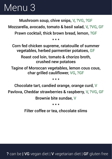Mushroom soup, chive snips, V, ?VG, ?GF Mozzarella, avocado, tomato & basil salad, V, ?VG, GF Prawn cocktail, thick brown bread, lemon, ?GF

\* \* \*

Corn fed chicken supreme, ratatouille of summer vegetables, herbed parmentier potatoes, GF Roast cod loin, tomato & chorizo broth, crushed new potatoes Tagine of Moroccan vegetables, lemon cous cous, char grilled cauliflower, VG, ?GF \* \* \*

Chocolate tart, candied orange, orange curd, V Pavlova, Cheddar strawberries & raspberry, V, ?VG, GF Brownie bite sundae, V

\* \* \*

Filter coffee or tea, chocolate slims